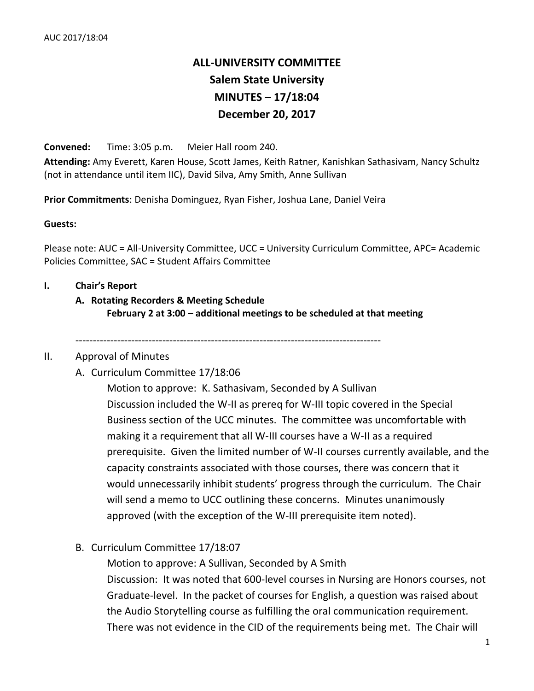# **ALL-UNIVERSITY COMMITTEE Salem State University MINUTES – 17/18:04 December 20, 2017**

**Convened:** Time: 3:05 p.m. Meier Hall room 240.

**Attending:** Amy Everett, Karen House, Scott James, Keith Ratner, Kanishkan Sathasivam, Nancy Schultz (not in attendance until item IIC), David Silva, Amy Smith, Anne Sullivan

**Prior Commitments**: Denisha Dominguez, Ryan Fisher, Joshua Lane, Daniel Veira

#### **Guests:**

Please note: AUC = All-University Committee, UCC = University Curriculum Committee, APC= Academic Policies Committee, SAC = Student Affairs Committee

#### **I. Chair's Report**

# **A. Rotating Recorders & Meeting Schedule February 2 at 3:00 – additional meetings to be scheduled at that meeting**

----------------------------------------------------------------------------------------

#### II. Approval of Minutes

#### A. Curriculum Committee 17/18:06

Motion to approve: K. Sathasivam, Seconded by A Sullivan Discussion included the W-II as prereq for W-III topic covered in the Special Business section of the UCC minutes. The committee was uncomfortable with making it a requirement that all W-III courses have a W-II as a required prerequisite. Given the limited number of W-II courses currently available, and the capacity constraints associated with those courses, there was concern that it would unnecessarily inhibit students' progress through the curriculum. The Chair will send a memo to UCC outlining these concerns. Minutes unanimously approved (with the exception of the W-III prerequisite item noted).

## B. Curriculum Committee 17/18:07

Motion to approve: A Sullivan, Seconded by A Smith Discussion: It was noted that 600-level courses in Nursing are Honors courses, not Graduate-level. In the packet of courses for English, a question was raised about the Audio Storytelling course as fulfilling the oral communication requirement. There was not evidence in the CID of the requirements being met. The Chair will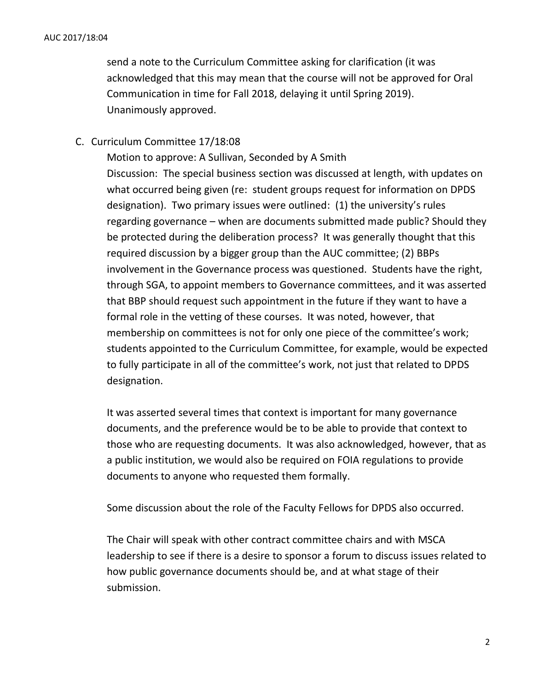send a note to the Curriculum Committee asking for clarification (it was acknowledged that this may mean that the course will not be approved for Oral Communication in time for Fall 2018, delaying it until Spring 2019). Unanimously approved.

# C. Curriculum Committee 17/18:08

Motion to approve: A Sullivan, Seconded by A Smith Discussion: The special business section was discussed at length, with updates on what occurred being given (re: student groups request for information on DPDS designation). Two primary issues were outlined: (1) the university's rules regarding governance – when are documents submitted made public? Should they be protected during the deliberation process? It was generally thought that this required discussion by a bigger group than the AUC committee; (2) BBPs involvement in the Governance process was questioned. Students have the right, through SGA, to appoint members to Governance committees, and it was asserted that BBP should request such appointment in the future if they want to have a formal role in the vetting of these courses. It was noted, however, that membership on committees is not for only one piece of the committee's work; students appointed to the Curriculum Committee, for example, would be expected to fully participate in all of the committee's work, not just that related to DPDS designation.

It was asserted several times that context is important for many governance documents, and the preference would be to be able to provide that context to those who are requesting documents. It was also acknowledged, however, that as a public institution, we would also be required on FOIA regulations to provide documents to anyone who requested them formally.

Some discussion about the role of the Faculty Fellows for DPDS also occurred.

The Chair will speak with other contract committee chairs and with MSCA leadership to see if there is a desire to sponsor a forum to discuss issues related to how public governance documents should be, and at what stage of their submission.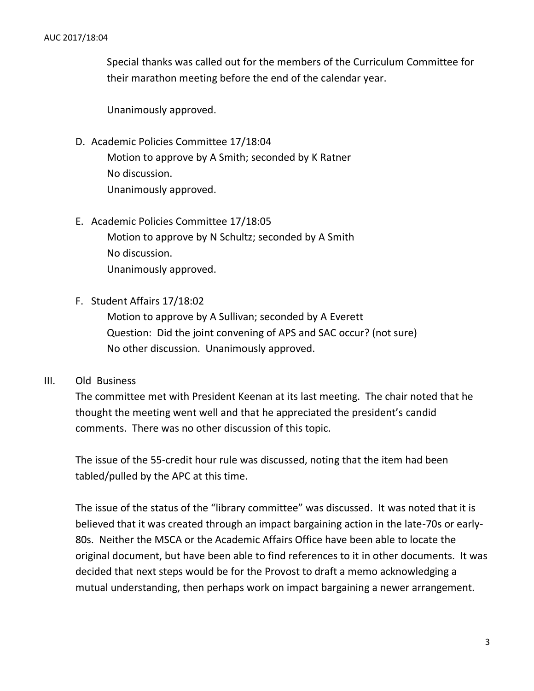Special thanks was called out for the members of the Curriculum Committee for their marathon meeting before the end of the calendar year.

Unanimously approved.

D. Academic Policies Committee 17/18:04

Motion to approve by A Smith; seconded by K Ratner No discussion. Unanimously approved.

- E. Academic Policies Committee 17/18:05 Motion to approve by N Schultz; seconded by A Smith No discussion. Unanimously approved.
- F. Student Affairs 17/18:02

Motion to approve by A Sullivan; seconded by A Everett Question: Did the joint convening of APS and SAC occur? (not sure) No other discussion. Unanimously approved.

## III. Old Business

The committee met with President Keenan at its last meeting. The chair noted that he thought the meeting went well and that he appreciated the president's candid comments. There was no other discussion of this topic.

The issue of the 55-credit hour rule was discussed, noting that the item had been tabled/pulled by the APC at this time.

The issue of the status of the "library committee" was discussed. It was noted that it is believed that it was created through an impact bargaining action in the late-70s or early-80s. Neither the MSCA or the Academic Affairs Office have been able to locate the original document, but have been able to find references to it in other documents. It was decided that next steps would be for the Provost to draft a memo acknowledging a mutual understanding, then perhaps work on impact bargaining a newer arrangement.